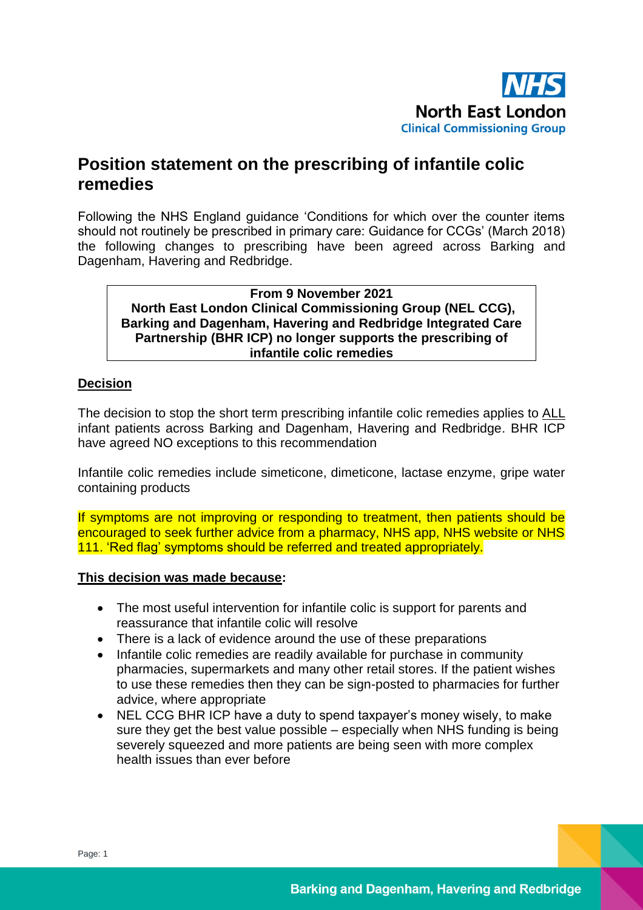

## **Position statement on the prescribing of infantile colic remedies**

Following the NHS England guidance 'Conditions for which over the counter items should not routinely be prescribed in primary care: Guidance for CCGs' (March 2018) the following changes to prescribing have been agreed across Barking and Dagenham, Havering and Redbridge.

**From 9 November 2021 North East London Clinical Commissioning Group (NEL CCG), Barking and Dagenham, Havering and Redbridge Integrated Care Partnership (BHR ICP) no longer supports the prescribing of infantile colic remedies**

## **Decision**

The decision to stop the short term prescribing infantile colic remedies applies to ALL infant patients across Barking and Dagenham, Havering and Redbridge. BHR ICP have agreed NO exceptions to this recommendation

Infantile colic remedies include simeticone, dimeticone, lactase enzyme, gripe water containing products

If symptoms are not improving or responding to treatment, then patients should be encouraged to seek further advice from a pharmacy, NHS app, NHS website or NHS 111. 'Red flag' symptoms should be referred and treated appropriately.

## **This decision was made because:**

- The most useful intervention for infantile colic is support for parents and reassurance that infantile colic will resolve
- There is a lack of evidence around the use of these preparations
- Infantile colic remedies are readily available for purchase in community pharmacies, supermarkets and many other retail stores. If the patient wishes to use these remedies then they can be sign-posted to pharmacies for further advice, where appropriate
- NEL CCG BHR ICP have a duty to spend taxpayer's money wisely, to make sure they get the best value possible – especially when NHS funding is being severely squeezed and more patients are being seen with more complex health issues than ever before